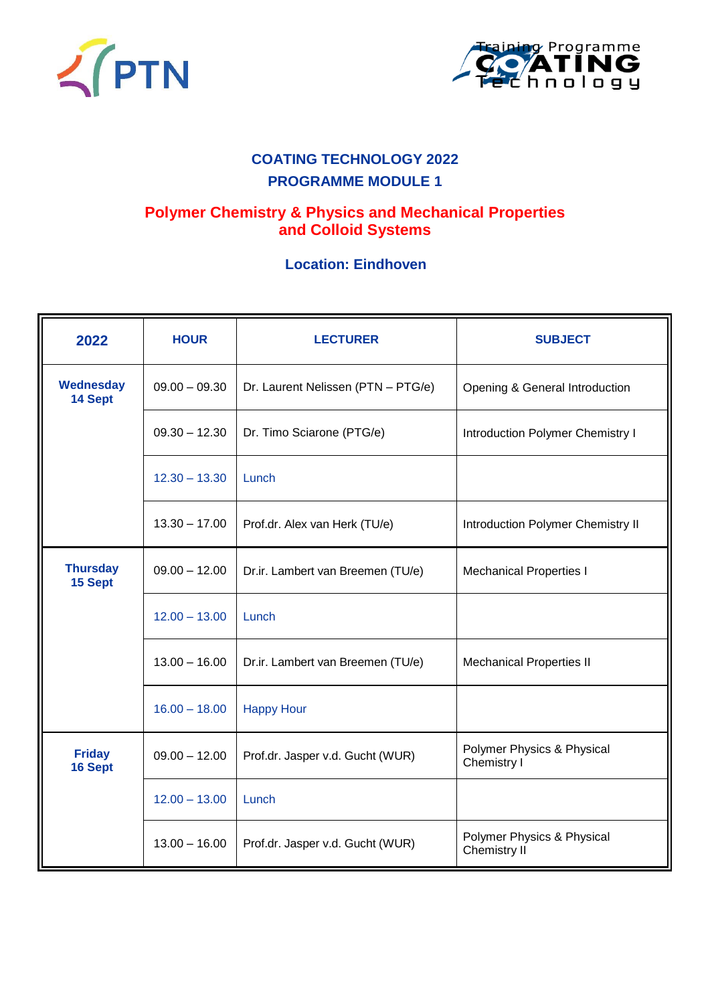



# **COATING TECHNOLOGY 2022 PROGRAMME MODULE 1**

## **Polymer Chemistry & Physics and Mechanical Properties and Colloid Systems**

#### **Location: Eindhoven**

| 2022                        | <b>HOUR</b>     | <b>LECTURER</b>                    | <b>SUBJECT</b>                             |  |
|-----------------------------|-----------------|------------------------------------|--------------------------------------------|--|
| <b>Wednesday</b><br>14 Sept | $09.00 - 09.30$ | Dr. Laurent Nelissen (PTN - PTG/e) | Opening & General Introduction             |  |
|                             | $09.30 - 12.30$ | Dr. Timo Sciarone (PTG/e)          | <b>Introduction Polymer Chemistry I</b>    |  |
|                             | $12.30 - 13.30$ | Lunch                              |                                            |  |
|                             | $13.30 - 17.00$ | Prof.dr. Alex van Herk (TU/e)      | Introduction Polymer Chemistry II          |  |
| <b>Thursday</b><br>15 Sept  | $09.00 - 12.00$ | Dr.ir. Lambert van Breemen (TU/e)  | <b>Mechanical Properties I</b>             |  |
|                             | $12.00 - 13.00$ | Lunch                              |                                            |  |
|                             | $13.00 - 16.00$ | Dr.ir. Lambert van Breemen (TU/e)  | <b>Mechanical Properties II</b>            |  |
|                             | $16.00 - 18.00$ | <b>Happy Hour</b>                  |                                            |  |
| <b>Friday</b><br>16 Sept    | $09.00 - 12.00$ | Prof.dr. Jasper v.d. Gucht (WUR)   | Polymer Physics & Physical<br>Chemistry I  |  |
|                             | $12.00 - 13.00$ | Lunch                              |                                            |  |
|                             | $13.00 - 16.00$ | Prof.dr. Jasper v.d. Gucht (WUR)   | Polymer Physics & Physical<br>Chemistry II |  |